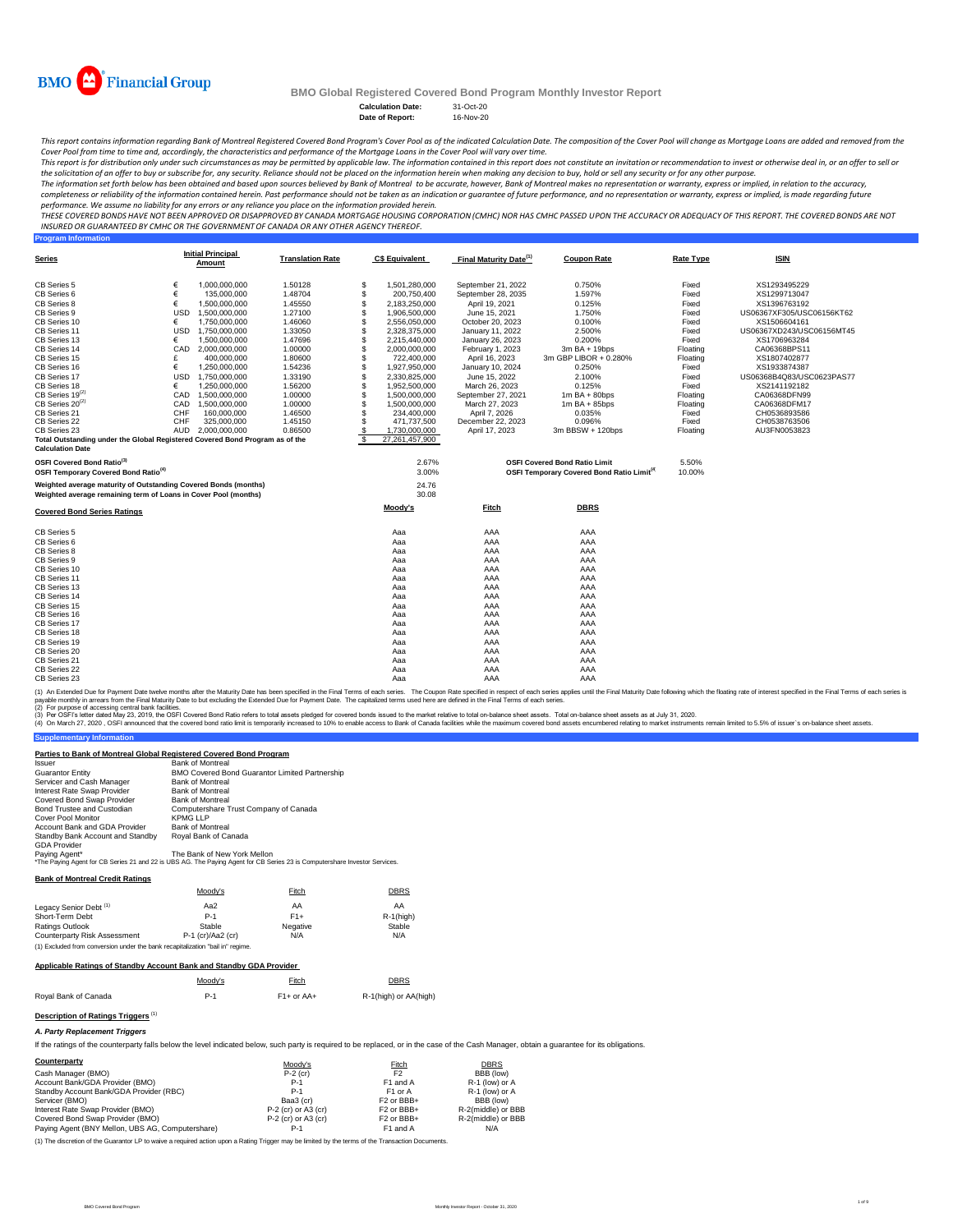| <b>Calculation Date:</b> | 31-Oct-20 |
|--------------------------|-----------|
| Date of Report:          | 16-Nov-20 |

#### **Program Information**

30.08

| <b>Covered Bond Series Ratings</b> | Moody's | <b>Fitch</b> | <b>DBRS</b> |
|------------------------------------|---------|--------------|-------------|
| <b>CB Series 5</b>                 | Aaa     | <b>AAA</b>   | AAA         |
| <b>CB Series 6</b>                 | Aaa     | <b>AAA</b>   | AAA         |
| <b>CB Series 8</b>                 | Aaa     | <b>AAA</b>   | AAA         |
| <b>CB Series 9</b>                 | Aaa     | <b>AAA</b>   | AAA         |
| <b>CB Series 10</b>                | Aaa     | <b>AAA</b>   | AAA         |
| <b>CB Series 11</b>                | Aaa     | <b>AAA</b>   | AAA         |
| <b>CB Series 13</b>                | Aaa     | <b>AAA</b>   | AAA         |
| <b>CB Series 14</b>                | Aaa     | <b>AAA</b>   | AAA         |
| <b>CB Series 15</b>                | Aaa     | <b>AAA</b>   | AAA         |
| <b>CB Series 16</b>                | Aaa     | <b>AAA</b>   | AAA         |
| <b>CB Series 17</b>                | Aaa     | <b>AAA</b>   | AAA         |
| <b>CB Series 18</b>                | Aaa     | <b>AAA</b>   | AAA         |
| <b>CB Series 19</b>                | Aaa     | <b>AAA</b>   | AAA         |
| <b>CB Series 20</b>                | Aaa     | <b>AAA</b>   | AAA         |
| <b>CB Series 21</b>                | Aaa     | <b>AAA</b>   | AAA         |
| <b>CB Series 22</b>                | Aaa     | <b>AAA</b>   | AAA         |
| <b>CB Series 23</b>                | Aaa     | AAA          | AAA         |

(1) An Extended Due for Payment Date twelve months after the Maturity Date has been specified in the Final Terms of each series. The Coupon Rate specified in respect of each series applies until the Final Maturity Date fol payable monthly in arrears from the Final Maturity Date to but excluding the Extended Due for Payment Date. The capitalized terms used here are defined in the Final Terms of each series.

| <b>Series</b>                                                                |            | <b>Initial Principal</b><br><u>Amount</u> | <b>Translation Rate</b> | <b>C\$ Equivalent</b> | <b>Final Maturity Date<sup>(1)</sup></b> | <b>Coupon Rate</b>                                           | <b>Rate Type</b> | <b>ISIN</b>               |
|------------------------------------------------------------------------------|------------|-------------------------------------------|-------------------------|-----------------------|------------------------------------------|--------------------------------------------------------------|------------------|---------------------------|
| <b>CB Series 5</b>                                                           |            | 1,000,000,000                             | 1.50128                 | \$<br>1,501,280,000   | September 21, 2022                       | 0.750%                                                       | Fixed            | XS1293495229              |
| <b>CB Series 6</b>                                                           |            | 135,000,000                               | 1.48704                 | 200,750,400           | September 28, 2035                       | 1.597%                                                       | Fixed            | XS1299713047              |
| <b>CB Series 8</b>                                                           |            | 1,500,000,000                             | 1.45550                 | 2,183,250,000         | April 19, 2021                           | 0.125%                                                       | Fixed            | XS1396763192              |
| <b>CB Series 9</b>                                                           | <b>USD</b> | 1,500,000,000                             | 1.27100                 | 1,906,500,000         | June 15, 2021                            | 1.750%                                                       | Fixed            | US06367XF305/USC06156KT62 |
| <b>CB Series 10</b>                                                          |            | 1,750,000,000                             | 1.46060                 | 2,556,050,000         | October 20, 2023                         | 0.100%                                                       | Fixed            | XS1506604161              |
| CB Series 11                                                                 | <b>USD</b> | 1,750,000,000                             | 1.33050                 | 2,328,375,000         | January 11, 2022                         | 2.500%                                                       | Fixed            | US06367XD243/USC06156MT45 |
| CB Series 13                                                                 |            | 1,500,000,000                             | 1.47696                 | 2,215,440,000         | January 26, 2023                         | 0.200%                                                       | Fixed            | XS1706963284              |
| CB Series 14                                                                 | <b>CAD</b> | 2,000,000,000                             | 1.00000                 | 2,000,000,000         | <b>February 1, 2023</b>                  | $3m$ BA + 19bps                                              | Floating         | CA06368BPS11              |
| CB Series 15                                                                 |            | 400,000,000                               | 1.80600                 | 722,400,000           | April 16, 2023                           | 3m GBP LIBOR + 0.280%                                        | Floating         | XS1807402877              |
| <b>CB Series 16</b>                                                          |            | 1,250,000,000                             | 1.54236                 | 1,927,950,000         | January 10, 2024                         | 0.250%                                                       | Fixed            | XS1933874387              |
| <b>CB Series 17</b>                                                          | <b>USD</b> | 1,750,000,000                             | 1.33190                 | 2,330,825,000         | June 15, 2022                            | 2.100%                                                       | Fixed            | US06368B4Q83/USC0623PAS77 |
| CB Series 18                                                                 |            | 1,250,000,000                             | 1.56200                 | 1,952,500,000         | March 26, 2023                           | 0.125%                                                       | Fixed            | XS2141192182              |
| $CB$ Series 19 <sup>(2)</sup>                                                | CAD        | 1,500,000,000                             | 1.00000                 | 1,500,000,000         | September 27, 2021                       | $1m$ BA + 80bps                                              | Floating         | CA06368DFN99              |
| CB Series $20^{(2)}$                                                         | CAD        | 1,500,000,000                             | 1.00000                 | 1,500,000,000         | March 27, 2023                           | $1m$ BA + 85bps                                              | Floating         | CA06368DFM17              |
| CB Series 21                                                                 | <b>CHF</b> | 160,000,000                               | 1.46500                 | 234,400,000           | April 7, 2026                            | 0.035%                                                       | Fixed            | CH0536893586              |
| <b>CB Series 22</b>                                                          | <b>CHF</b> | 325,000,000                               | 1.45150                 | 471,737,500           | December 22, 2023                        | 0.096%                                                       | Fixed            | CH0538763506              |
| CB Series 23                                                                 | <b>AUD</b> | 2,000,000,000                             | 0.86500                 | 1,730,000,000         | April 17, 2023                           | $3m$ BBSW + 120bps                                           | Floating         | AU3FN0053823              |
| Total Outstanding under the Global Registered Covered Bond Program as of the |            |                                           |                         | 27,261,457,900        |                                          |                                                              |                  |                           |
| <b>Calculation Date</b>                                                      |            |                                           |                         |                       |                                          |                                                              |                  |                           |
| <b>OSFI Covered Bond Ratio</b> <sup>(3)</sup>                                |            |                                           |                         | 2.67%                 |                                          | <b>OSFI Covered Bond Ratio Limit</b>                         | 5.50%            |                           |
| <b>OSFI Temporary Covered Bond Ratio<sup>(4)</sup></b>                       |            |                                           |                         | 3.00%                 |                                          | <b>OSFI Temporary Covered Bond Ratio Limit<sup>(4)</sup></b> | 10.00%           |                           |
| Weighted average maturity of Outstanding Covered Bonds (months)              |            |                                           |                         | 24.76                 |                                          |                                                              |                  |                           |

(2) For purpose of accessing central bank facilities.

(3) Per OSFI's letter dated May 23, 2019, the OSFI Covered Bond Ratio refers to total assets pledged for covered bonds issued to the market relative to total on-balance sheet assets. Total on-balance sheet assets as at Jul

(4) On March 27, 2020, OSFI announced that the covered bond ratio limit is temporarily increased to 10% to enable access to Bank of Canada facilities while the maximum covered bond assets encumbered relating to market inst

#### **Supplementary Information**

This report contains information regarding Bank of Montreal Registered Covered Bond Program's Cover Pool as of the indicated Calculation Date. The composition of the Cover Pool will change as Mortgage Loans are added and r *Cover Pool from time to time and, accordingly, the characteristics and performance of the Mortgage Loans in the Cover Pool will vary over time.*

This report is for distribution only under such circumstances as may be permitted by applicable law. The information contained in this report does not constitute an invitation or recommendation to invest or otherwise deal the solicitation of an offer to buy or subscribe for, any security. Reliance should not be placed on the information herein when making any decision to buy, hold or sell any security or for any other purpose.

#### **Bank of Montreal Credit Ratings**

#### **Applicable Ratings of Standby Account Bank and Standby GDA Provider**

|  | <b>DDD</b> |
|--|------------|
|  |            |
|  |            |

Moody's Fitch Eitch DBRS Royal Bank of Canada **P-1** P-1 F1+ or AA+ R-1(high) or AA(high)

## **Description of Ratings Triggers**<sup>(1)</sup>

#### *A. Party Replacement Triggers*

If the ratings of the counterparty falls below the level indicated below, such party is required to be replaced, or in the case of the Cash Manager, obtain a guarantee for its obligations.

The information set forth below has been obtained and based upon sources believed by Bank of Montreal to be accurate, however, Bank of Montreal makes no representation or warranty, express or implied, in relation to the ac completeness or reliability of the information contained herein. Past performance should not be taken as an indication or guarantee of future performance, and no representation or warranty, express or implied, is made rega *performance. We assume no liability for any errors or any reliance you place on the information provided herein.*

| Counterparty                                     | Moody's               | <b>Fitch</b>                      | <b>DBRS</b>        |
|--------------------------------------------------|-----------------------|-----------------------------------|--------------------|
| Cash Manager (BMO)                               | $P-2$ (cr)            | F <sub>2</sub>                    | BBB (low)          |
| Account Bank/GDA Provider (BMO)                  | $P-1$                 | F1 and A                          | $R-1$ (low) or A   |
| Standby Account Bank/GDA Provider (RBC)          | $P-1$                 | F <sub>1</sub> or A               | $R-1$ (low) or A   |
| Servicer (BMO)                                   | Baa3 (cr)             | F <sub>2</sub> or BB <sub>+</sub> | BBB (low)          |
| Interest Rate Swap Provider (BMO)                | $P-2$ (cr) or A3 (cr) | F <sub>2</sub> or BB <sub>+</sub> | R-2(middle) or BBB |
| Covered Bond Swap Provider (BMO)                 | $P-2$ (cr) or A3 (cr) | F <sub>2</sub> or BB <sub>+</sub> | R-2(middle) or BBB |
| Paying Agent (BNY Mellon, UBS AG, Computershare) | $P-1$                 | F1 and A                          | N/A                |

| <b>Issuer</b>                           | <b>Bank of Montreal</b>                                                                                      |
|-----------------------------------------|--------------------------------------------------------------------------------------------------------------|
| <b>Guarantor Entity</b>                 | <b>BMO Covered Bond Guarantor Limited Partnership</b>                                                        |
| Servicer and Cash Manager               | <b>Bank of Montreal</b>                                                                                      |
| <b>Interest Rate Swap Provider</b>      | <b>Bank of Montreal</b>                                                                                      |
| <b>Covered Bond Swap Provider</b>       | <b>Bank of Montreal</b>                                                                                      |
| <b>Bond Trustee and Custodian</b>       | Computershare Trust Company of Canada                                                                        |
| <b>Cover Pool Monitor</b>               | <b>KPMG LLP</b>                                                                                              |
| <b>Account Bank and GDA Provider</b>    | <b>Bank of Montreal</b>                                                                                      |
| <b>Standby Bank Account and Standby</b> | Royal Bank of Canada                                                                                         |
| <b>GDA Provider</b>                     |                                                                                                              |
| Paying Agent*                           | The Bank of New York Mellon                                                                                  |
|                                         | *The Doving Agent for CD Series 21 and 22 is LIDS AC. The Doving Agent for CD Series 22 is Computershere Inv |

Ine Paying Agent for CB Series 21 and 22 is UBS AG. The Paying Agent for CB Series 23 is Computershare Investor Services.

(1) The discretion of the Guarantor LP to waive a required action upon a Rating Trigger may be limited by the terms of the Transaction Documents.

|                                     | Moody's             | Fitch           | <b>DBRS</b>   |
|-------------------------------------|---------------------|-----------------|---------------|
| Legacy Senior Debt <sup>(1)</sup>   | Aa2                 | AA              | AA            |
| <b>Short-Term Debt</b>              | $P-1$               | $F1+$           | $R-1$ (high)  |
| <b>Ratings Outlook</b>              | <b>Stable</b>       | <b>Negative</b> | <b>Stable</b> |
| <b>Counterparty Risk Assessment</b> | $P-1$ (cr)/Aa2 (cr) | N/A             | N/A           |

(1) Excluded from conversion under the bank recapitalization "bail in" regime.



**BMO Global Registered Covered Bond Program Monthly Investor Report**

**Weighted average remaining term of Loans in Cover Pool (months)**

**Parties to Bank of Montreal Global Registered Covered Bond Program**

*THESE COVERED BONDS HAVE NOT BEEN APPROVED OR DISAPPROVED BY CANADA MORTGAGE HOUSING CORPORATION (CMHC) NOR HAS CMHC PASSED UPON THE ACCURACY OR ADEQUACY OF THIS REPORT. THE COVERED BONDS ARE NOT INSURED OR GUARANTEED BY CMHC OR THE GOVERNMENT OF CANADA OR ANY OTHER AGENCY THEREOF.*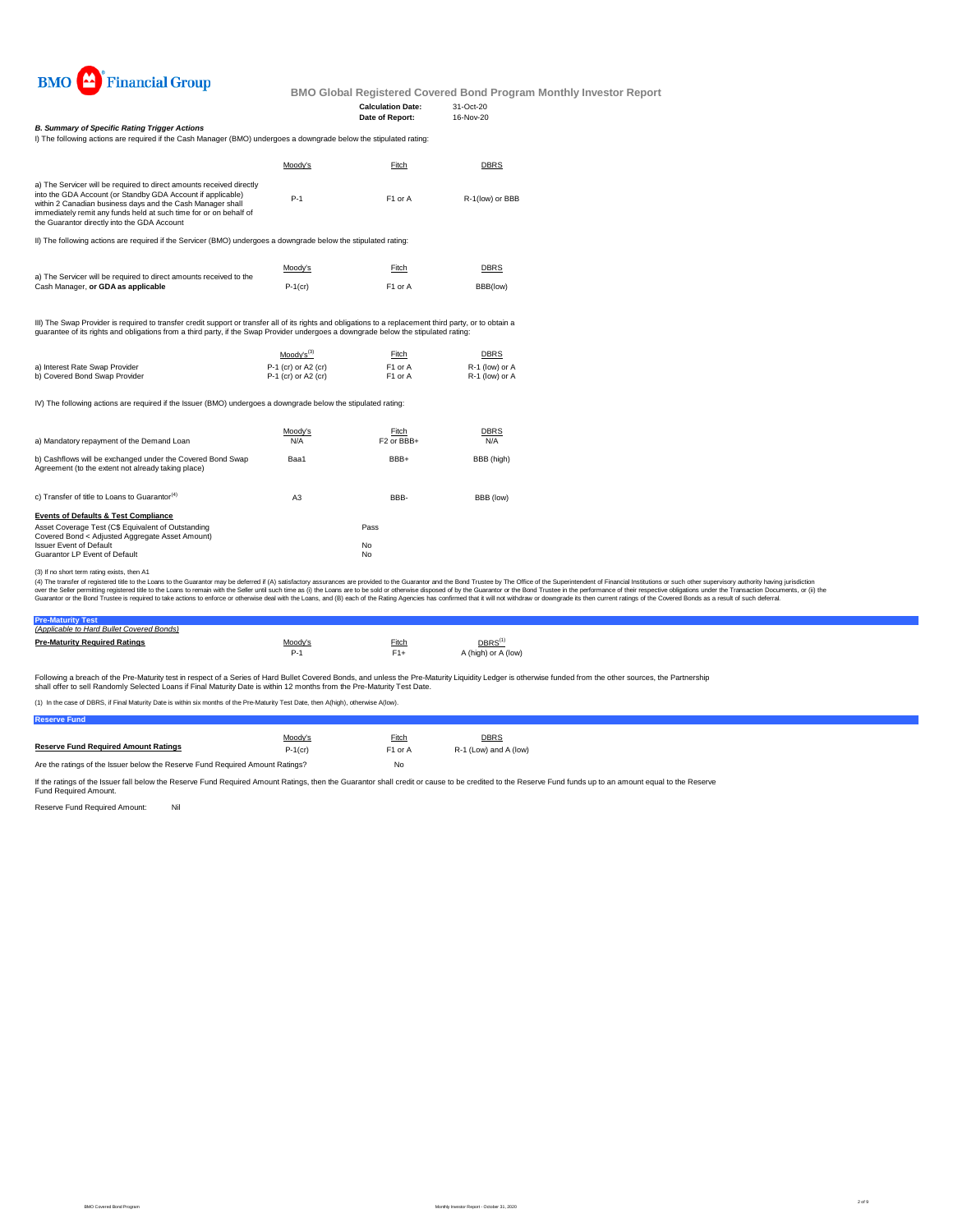**Calculation Date:** 31-Oct-20 **Date of Report:** 16-Nov-20



**BMO Global Registered Covered Bond Program Monthly Investor Report**

I) The following actions are required if the Cash Manager (BMO) undergoes a downgrade below the stipulated rating:

|                                | $Mody's^{(3)}$        | <b>Fitch</b>        | <b>DBRS</b>      |
|--------------------------------|-----------------------|---------------------|------------------|
| a) Interest Rate Swap Provider | $P-1$ (cr) or A2 (cr) | F <sub>1</sub> or A | $R-1$ (low) or A |
| b) Covered Bond Swap Provider  | $P-1$ (cr) or A2 (cr) | F1 or A             | $R-1$ (low) or A |

IV) The following actions are required if the Issuer (BMO) undergoes a downgrade below the stipulated rating:

| c) Transfer of title to Loans to Guarantor <sup>(4)</sup> | A3 | BBB-      | BBB (low) |
|-----------------------------------------------------------|----|-----------|-----------|
| <b>Events of Defaults &amp; Test Compliance</b>           |    |           |           |
| Asset Coverage Test (C\$ Equivalent of Outstanding        |    | Pass      |           |
| Covered Bond < Adjusted Aggregate Asset Amount)           |    |           |           |
| <b>Issuer Event of Default</b>                            |    | <b>No</b> |           |
| <b>Guarantor LP Event of Default</b>                      |    | <b>No</b> |           |

| (Applicable to Hard Bullet Covered Bonds) |                |              |                                  |
|-------------------------------------------|----------------|--------------|----------------------------------|
| <b>Pre-Maturity Required Ratings</b>      | <u>Moody's</u> | <b>Fitch</b> | $\overline{\mathsf{DBRS}^{(1)}}$ |
|                                           | $P-1$          | $F1+$        | A (high) or A (low)              |
|                                           |                |              |                                  |

Following a breach of the Pre-Maturity test in respect of a Series of Hard Bullet Covered Bonds, and unless the Pre-Maturity Liquidity Ledger is otherwise funded from the other sources, the Partnership shall offer to sell Randomly Selected Loans if Final Maturity Date is within 12 months from the Pre-Maturity Test Date.

(3) If no short term rating exists, then A1

(4) The transfer of registered title to the Loans to the Guarantor may be deferred if (A) satisfactory assurances are provided to the Guarantor and the Bond Trustee by The Office of the Superintendent of Financial Institut over the Seller permitting registered title to the Loans to remain with the Seller until such time as (i) the Loans are to be sold or otherwise disposed of by the Guarantor or the Bond Trustee in the performance of their r Guarantor or the Bond Trustee is required to take actions to enforce or otherwise deal with the Loans, and (B) each of the Rating Agencies has confirmed that it will not withdraw or downgrade its then current ratings of th

|                                                                                                                                                                                                                                                                                                                       | Moody's | Fitch               | <u>DBRS</u>     |
|-----------------------------------------------------------------------------------------------------------------------------------------------------------------------------------------------------------------------------------------------------------------------------------------------------------------------|---------|---------------------|-----------------|
| a) The Servicer will be required to direct amounts received directly<br>into the GDA Account (or Standby GDA Account if applicable)<br>within 2 Canadian business days and the Cash Manager shall<br>immediately remit any funds held at such time for or on behalf of<br>the Guarantor directly into the GDA Account | $P-1$   | F <sub>1</sub> or A | R-1(low) or BBB |

| a) Mandatory repayment of the Demand Loan                                                                        | Moody's | Fitch                             | <u>DBRS</u> |
|------------------------------------------------------------------------------------------------------------------|---------|-----------------------------------|-------------|
|                                                                                                                  | N/A     | F <sub>2</sub> or BB <sub>+</sub> | N/A         |
| b) Cashflows will be exchanged under the Covered Bond Swap<br>Agreement (to the extent not already taking place) | Baa1    | BBB+                              | BBB (high)  |

If the ratings of the Issuer fall below the Reserve Fund Required Amount Ratings, then the Guarantor shall credit or cause to be credited to the Reserve Fund funds up to an amount equal to the Reserve Fund Required Amount.

Reserve Fund Required Amount: Nil

|                                                                    | <u>Moody's</u> | Fitch               | <b>DBRS</b> |
|--------------------------------------------------------------------|----------------|---------------------|-------------|
| a) The Servicer will be required to direct amounts received to the |                |                     |             |
| Cash Manager, or GDA as applicable                                 | $P-1$ (cr)     | F <sub>1</sub> or A | BBB(low)    |

III) The Swap Provider is required to transfer credit support or transfer all of its rights and obligations to a replacement third party, or to obtain a guarantee of its rights and obligations from a third party, if the Swap Provider undergoes a downgrade below the stipulated rating:

(1) In the case of DBRS, if Final Maturity Date is within six months of the Pre-Maturity Test Date, then A(high), otherwise A(low).

#### *B. Summary of Specific Rating Trigger Actions*

II) The following actions are required if the Servicer (BMO) undergoes a downgrade below the stipulated rating: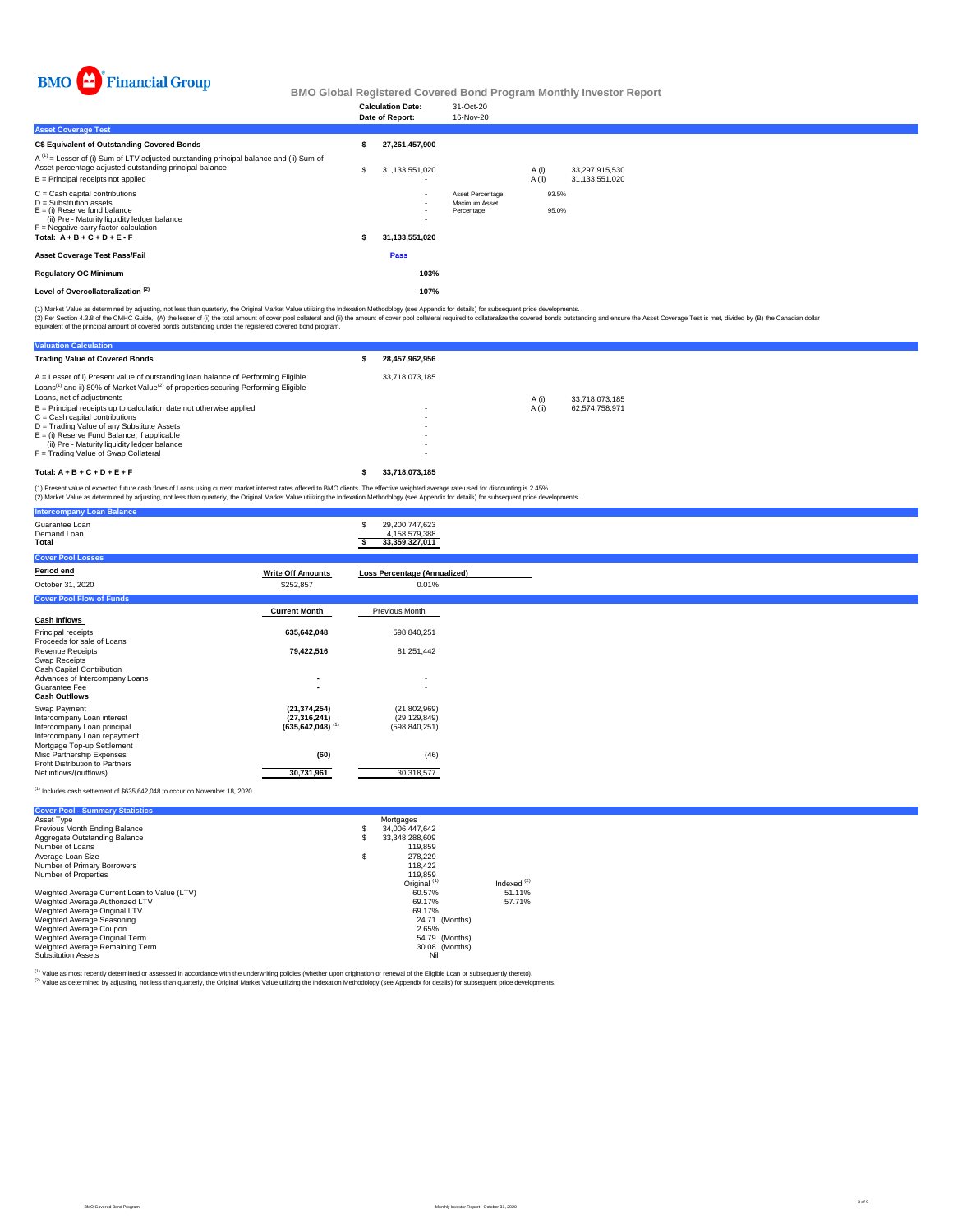

|                                                                                                                                                                                                                              |                | <b>Calculation Date:</b><br>Date of Report:                  | 31-Oct-20<br>16-Nov-20                                        |                                                  |
|------------------------------------------------------------------------------------------------------------------------------------------------------------------------------------------------------------------------------|----------------|--------------------------------------------------------------|---------------------------------------------------------------|--------------------------------------------------|
| <b>Asset Coverage Test</b>                                                                                                                                                                                                   |                |                                                              |                                                               |                                                  |
| <b>C\$ Equivalent of Outstanding Covered Bonds</b>                                                                                                                                                                           |                | 27,261,457,900                                               |                                                               |                                                  |
| $A^{(1)}$ = Lesser of (i) Sum of LTV adjusted outstanding principal balance and (ii) Sum of<br>Asset percentage adjusted outstanding principal balance<br>$B =$ Principal receipts not applied                               | $\mathfrak{L}$ | 31,133,551,020                                               |                                                               | A(i)<br>33,297,915,530<br>A(i)<br>31,133,551,020 |
| $C =$ Cash capital contributions<br>$D =$ Substitution assets<br>$E = (i)$ Reserve fund balance<br>(ii) Pre - Maturity liquidity ledger balance<br>$F =$ Negative carry factor calculation<br>Total: $A + B + C + D + E - F$ |                | $\overline{\phantom{0}}$<br>$\blacksquare$<br>31,133,551,020 | <b>Asset Percentage</b><br><b>Maximum Asset</b><br>Percentage | 93.5%<br>95.0%                                   |
| <b>Asset Coverage Test Pass/Fail</b>                                                                                                                                                                                         |                | <b>Pass</b>                                                  |                                                               |                                                  |
| <b>Regulatory OC Minimum</b>                                                                                                                                                                                                 |                | 103%                                                         |                                                               |                                                  |
| Level of Overcollateralization <sup>(2)</sup>                                                                                                                                                                                |                | 107%                                                         |                                                               |                                                  |

| <b>Intercompany Loan Balance</b>                                           |                                                    |                                                         |
|----------------------------------------------------------------------------|----------------------------------------------------|---------------------------------------------------------|
| Guarantee Loan<br>Demand Loan<br><b>Total</b>                              |                                                    | 29,200,747,623<br>\$<br>4,158,579,388<br>33,359,327,011 |
| <b>Cover Pool Losses</b>                                                   |                                                    |                                                         |
| Period end                                                                 | <b>Write Off Amounts</b>                           | <b>Loss Percentage (Annualized)</b>                     |
| October 31, 2020                                                           | \$252,857                                          | 0.01%                                                   |
| <b>Cover Pool Flow of Funds</b>                                            |                                                    |                                                         |
|                                                                            | <b>Current Month</b>                               | <b>Previous Month</b>                                   |
| <b>Cash Inflows</b>                                                        |                                                    |                                                         |
| <b>Principal receipts</b>                                                  | 635,642,048                                        | 598,840,251                                             |
| Proceeds for sale of Loans<br><b>Revenue Receipts</b>                      | 79,422,516                                         | 81,251,442                                              |
| <b>Swap Receipts</b>                                                       |                                                    |                                                         |
| <b>Cash Capital Contribution</b><br>Advances of Intercompany Loans         | $\blacksquare$                                     | $\sim$                                                  |
| <b>Guarantee Fee</b>                                                       |                                                    |                                                         |
| <b>Cash Outflows</b>                                                       |                                                    |                                                         |
| <b>Swap Payment</b>                                                        | (21, 374, 254)                                     | (21,802,969)                                            |
| Intercompany Loan interest<br>Intercompany Loan principal                  | (27, 316, 241)<br>$(635, 642, 048)$ <sup>(1)</sup> | (29, 129, 849)<br>(598, 840, 251)                       |
| Intercompany Loan repayment                                                |                                                    |                                                         |
| Mortgage Top-up Settlement                                                 |                                                    |                                                         |
| <b>Misc Partnership Expenses</b><br><b>Profit Distribution to Partners</b> | (60)                                               | (46)                                                    |
| Net inflows/(outflows)                                                     | 30,731,961                                         | 30,318,577                                              |

 $(1)$  Includes cash settlement of \$635,642,048 to occur on November 18, 2020.

| <b>Valuation Calculation</b>                                                                                                                                                                                                   |                          |        |                |
|--------------------------------------------------------------------------------------------------------------------------------------------------------------------------------------------------------------------------------|--------------------------|--------|----------------|
| <b>Trading Value of Covered Bonds</b>                                                                                                                                                                                          | 28,457,962,956           |        |                |
| $A =$ Lesser of i) Present value of outstanding loan balance of Performing Eligible<br>Loans <sup>(1)</sup> and ii) 80% of Market Value <sup>(2)</sup> of properties securing Performing Eligible<br>Loans, net of adjustments | 33,718,073,185           | A(i)   | 33,718,073,185 |
| $B =$ Principal receipts up to calculation date not otherwise applied                                                                                                                                                          | $\overline{\phantom{a}}$ | A (ii) | 62,574,758,971 |
| $C =$ Cash capital contributions                                                                                                                                                                                               | $\overline{\phantom{a}}$ |        |                |
| D = Trading Value of any Substitute Assets                                                                                                                                                                                     | $\overline{\phantom{a}}$ |        |                |
| $E = (i)$ Reserve Fund Balance, if applicable                                                                                                                                                                                  |                          |        |                |
| (ii) Pre - Maturity liquidity ledger balance                                                                                                                                                                                   |                          |        |                |
| $F =$ Trading Value of Swap Collateral                                                                                                                                                                                         |                          |        |                |
| Total: $A + B + C + D + E + F$                                                                                                                                                                                                 | 33,718,073,185           |        |                |

(1) Market Value as determined by adjusting, not less than quarterly, the Original Market Value utilizing the Indexation Methodology (see Appendix for details) for subsequent price developments.

(2) Per Section 4.3.8 of the CMHC Guide, (A) the lesser of (i) the total amount of cover pool collateral and (ii) the amount of cover pool collateral required to collateralize the covered bonds outstanding and ensure the A equivalent of the principal amount of covered bonds outstanding under the registered covered bond program.

(1) Present value of expected future cash flows of Loans using current market interest rates offered to BMO clients. The effective weighted average rate used for discounting is 2.45%.

(2) Market Value as determined by adjusting, not less than quarterly, the Original Market Value utilizing the Indexation Methodology (see Appendix for details) for subsequent price developments.

| <b>Cover Pool - Summary Statistics</b>       |                         |               |
|----------------------------------------------|-------------------------|---------------|
| Asset Type                                   | Mortgages               |               |
| <b>Previous Month Ending Balance</b>         | 34,006,447,642          |               |
| <b>Aggregate Outstanding Balance</b>         | 33,348,288,609          |               |
| Number of Loans                              | 119,859                 |               |
| Average Loan Size                            | 278,229                 |               |
| <b>Number of Primary Borrowers</b>           | 118,422                 |               |
| <b>Number of Properties</b>                  | 119,859                 |               |
|                                              | Original <sup>(1)</sup> | Indexed $(2)$ |
| Weighted Average Current Loan to Value (LTV) | 60.57%                  | 51.11%        |
| Weighted Average Authorized LTV              | 69.17%                  | 57.71%        |
| <b>Weighted Average Original LTV</b>         | 69.17%                  |               |
| <b>Weighted Average Seasoning</b>            | 24.71 (Months)          |               |
| <b>Weighted Average Coupon</b>               | 2.65%                   |               |
| <b>Weighted Average Original Term</b>        | 54.79 (Months)          |               |
| Weighted Average Remaining Term              | 30.08 (Months)          |               |
| <b>Substitution Assets</b>                   | Nil                     |               |

(1) Value as most recently determined or assessed in accordance with the underwriting policies (whether upon origination or renewal of the Eligible Loan or subsequently thereto).

<sup>(2)</sup> Value as determined by adjusting, not less than quarterly, the Original Market Value utilizing the Indexation Methodology (see Appendix for details) for subsequent price developments.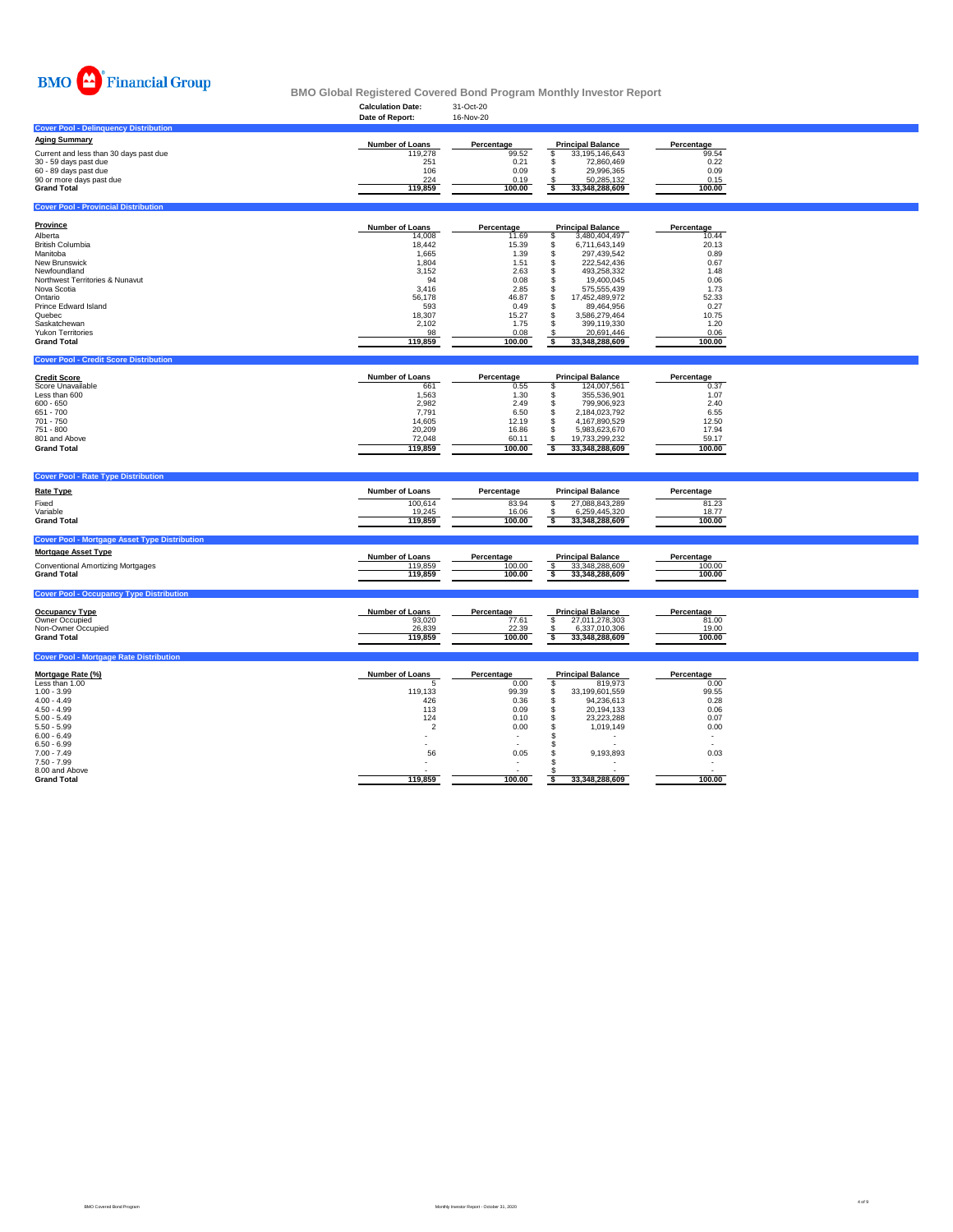

| <b>Calculation Date:</b> | 31-Oct-20         |                |                          |
|--------------------------|-------------------|----------------|--------------------------|
| Date of Report:          | 16-Nov-20         |                |                          |
|                          |                   |                |                          |
| <b>Number of Loans</b>   | <b>Percentage</b> |                | Percentage               |
| 119,278                  | 99.52             | 33,195,146,643 | 99.54                    |
| 251                      | 0.21              | 72,860,469     | 0.22                     |
| 106                      | 0.09              | 29,996,365     | 0.09                     |
| 224                      | 0.19              | 50,285,132     | 0.15                     |
| 119,859                  | 100.00            | 33,348,288,609 | 100.00                   |
|                          |                   |                | <b>Principal Balance</b> |

## **Cover Pool - Provincial Distribution**

### **Cover Pool - Credit Score Distribution**

# **Cover Pool - Rate Type Distribution**

| <b>Province</b>                            | <b>Number of Loans</b> | Percentage | <b>Principal Balance</b> | Percentage |
|--------------------------------------------|------------------------|------------|--------------------------|------------|
| Alberta                                    | 14,008                 | 11.69      | 3,480,404,497            | 10.44      |
| <b>British Columbia</b>                    | 18,442                 | 15.39      | 6,711,643,149            | 20.13      |
| Manitoba                                   | 1,665                  | 1.39       | 297,439,542              | 0.89       |
| <b>New Brunswick</b>                       | 1,804                  | 1.51       | 222,542,436              | 0.67       |
| Newfoundland                               | 3,152                  | 2.63       | 493,258,332              | 1.48       |
| <b>Northwest Territories &amp; Nunavut</b> | 94                     | 0.08       | 19,400,045               | 0.06       |
| Nova Scotia                                | 3,416                  | 2.85       | 575,555,439              | 1.73       |
| Ontario                                    | 56,178                 | 46.87      | 17,452,489,972           | 52.33      |
| <b>Prince Edward Island</b>                | 593                    | 0.49       | 89,464,956               | 0.27       |
| Quebec                                     | 18,307                 | 15.27      | 3,586,279,464            | 10.75      |
| Saskatchewan                               | 2,102                  | 1.75       | 399,119,330              | 1.20       |
| <b>Yukon Territories</b>                   | 98                     | 0.08       | 20,691,446               | 0.06       |
| <b>Grand Total</b>                         | 119,859                | 100.00     | 33,348,288,609           | 100.00     |

| <b>Rate Type</b>                                     | <b>Number of Loans</b> | Percentage | <b>Principal Balance</b> | <b>Percentage</b> |  |
|------------------------------------------------------|------------------------|------------|--------------------------|-------------------|--|
| Fixed                                                | 100,614                | 83.94      | 27,088,843,289           | 81.23             |  |
| Variable                                             | 19,245                 | 16.06      | 6,259,445,320            | 18.77             |  |
| <b>Grand Total</b>                                   | 119,859                | 100.00     | 33,348,288,609           | 100.00            |  |
| <b>Cover Pool - Mortgage Asset Type Distribution</b> |                        |            |                          |                   |  |
| <b>Mortgage Asset Type</b>                           | <b>Number of Loans</b> | Percentage | <b>Principal Balance</b> | <b>Percentage</b> |  |
| <b>Conventional Amortizing Mortgages</b>             | 119,859                | 100.00     | 33,348,288,609           | 100.00            |  |
| <b>Grand Total</b>                                   | 119,859                | 100.00     | 33,348,288,609           | 100.00            |  |
| <b>Cover Pool - Occupancy Type Distribution</b>      |                        |            |                          |                   |  |
|                                                      |                        |            |                          |                   |  |

| <b>Credit Score</b>      | <b>Number of Loans</b> | <b>Percentage</b> | <b>Principal Balance</b> |                | <b>Percentage</b> |
|--------------------------|------------------------|-------------------|--------------------------|----------------|-------------------|
| <b>Score Unavailable</b> | 661                    | 0.55              |                          | 124,007,561    | 0.37              |
| Less than 600            | 1,563                  | 1.30              |                          | 355,536,901    | 1.07              |
| $600 - 650$              | 2,982                  | 2.49              |                          | 799,906,923    | 2.40              |
| 651 - 700                | 7,791                  | 6.50              |                          | 2,184,023,792  | 6.55              |
| 701 - 750                | 14,605                 | 12.19             |                          | 4,167,890,529  | 12.50             |
| 751 - 800                | 20,209                 | 16.86             |                          | 5,983,623,670  | 17.94             |
| 801 and Above            | 72,048                 | 60.11             |                          | 19,733,299,232 | 59.17             |
| <b>Grand Total</b>       | 119,859                | 100.00            |                          | 33,348,288,609 | 100.00            |

| <b>Occupancy Type</b> | <b>Number of Loans</b> | Percentage | <b>Principal Balance</b> | Percentage |
|-----------------------|------------------------|------------|--------------------------|------------|
| <b>Owner Occupied</b> | 93,020                 | 77.61      | 27,011,278,303           | 81.00      |
| Non-Owner Occupied    | 26,839                 | 22.39      | 6,337,010,306            | 19.00      |
| <b>Grand Total</b>    | 119,859                | 100.00     | 33,348,288,609           | 100.00     |

## **Cover Pool - Mortgage Rate Distribution**

| <u>Mortgage Rate (%)</u> | <b>Number of Loans</b> | Percentage | <b>Principal Balance</b> | Percentage |
|--------------------------|------------------------|------------|--------------------------|------------|
| Less than 1.00           |                        | 0.00       | 819,973                  | 0.00       |
| $1.00 - 3.99$            | 119,133                | 99.39      | 33,199,601,559           | 99.55      |
| $4.00 - 4.49$            | 426                    | 0.36       | 94,236,613               | 0.28       |
| $4.50 - 4.99$            | 113                    | 0.09       | 20,194,133               | 0.06       |
| $5.00 - 5.49$            | 124                    | 0.10       | 23,223,288               | 0.07       |
| $5.50 - 5.99$            |                        | 0.00       | 1,019,149                | 0.00       |
| $6.00 - 6.49$            |                        |            |                          |            |
| $6.50 - 6.99$            |                        |            |                          |            |
| $7.00 - 7.49$            | 56                     | 0.05       | 9,193,893                | 0.03       |
| $7.50 - 7.99$            |                        |            |                          |            |
| 8.00 and Above           |                        |            |                          |            |
| <b>Grand Total</b>       | 119,859                | 100.00     | 33,348,288,609           | 100.00     |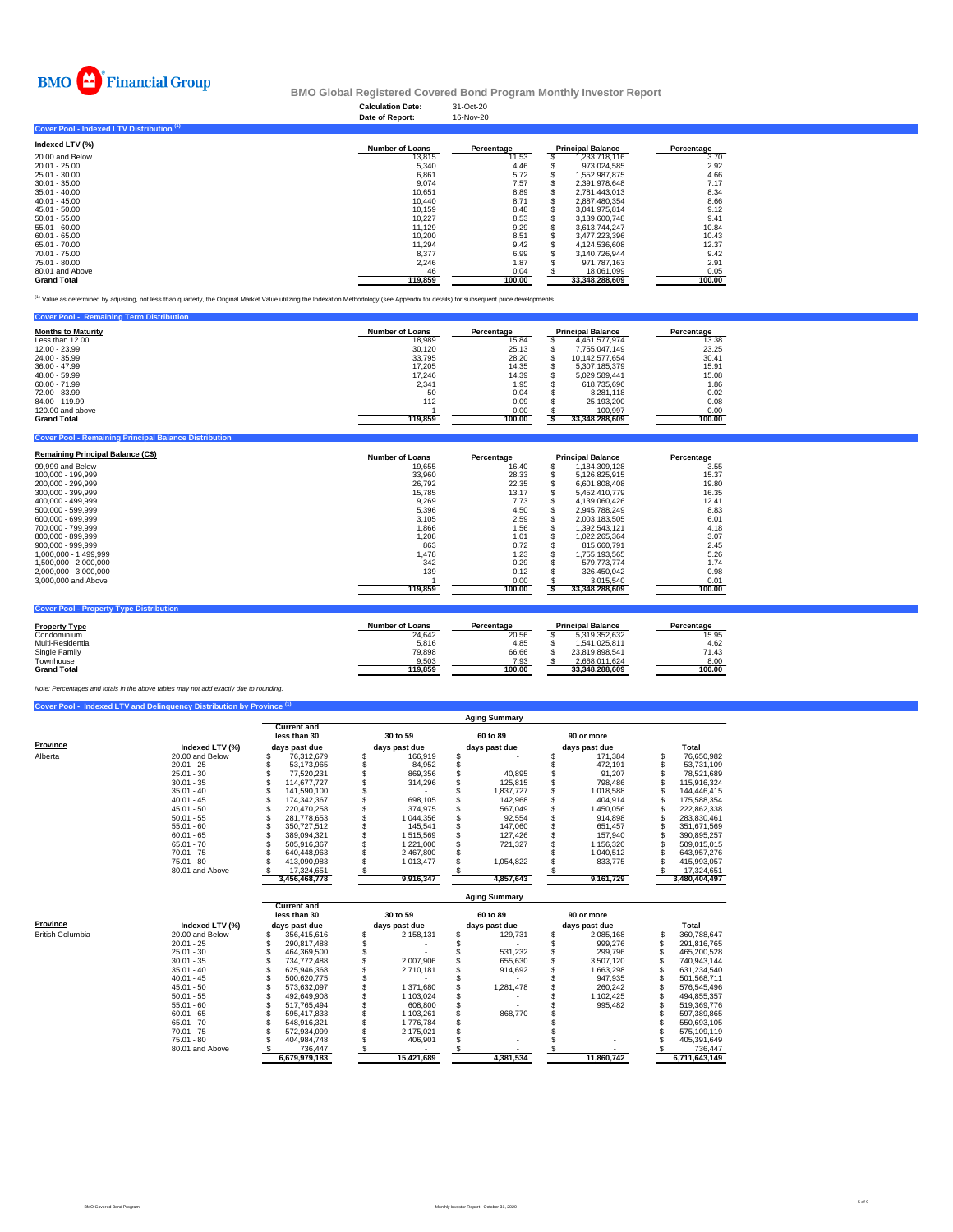| 31-Oct-20 |
|-----------|
| 16-Nov-20 |
|           |



# **Cover Pool - Indexed LTV Distribution (1)**

| Indexed LTV $(\%)$ | <b>Number of Loans</b> | <b>Percentage</b> | <b>Principal Balance</b> | Percentage |
|--------------------|------------------------|-------------------|--------------------------|------------|
| 20.00 and Below    | 13,815                 | 11.53             | 1,233,718,116            | 3.70       |
| 20.01 - 25.00      | 5,340                  | 4.46              | 973,024,585              | 2.92       |
| 25.01 - 30.00      | 6,861                  | 5.72              | 1,552,987,875            | 4.66       |
| $30.01 - 35.00$    | 9,074                  | 7.57              | 2,391,978,648            | 7.17       |
| $35.01 - 40.00$    | 10,651                 | 8.89              | 2,781,443,013            | 8.34       |
| 40.01 - 45.00      | 10,440                 | 8.71              | 2,887,480,354            | 8.66       |
| 45.01 - 50.00      | 10,159                 | 8.48              | 3,041,975,814            | 9.12       |
| $50.01 - 55.00$    | 10,227                 | 8.53              | 3,139,600,748            | 9.41       |
| 55.01 - 60.00      | 11,129                 | 9.29              | 3,613,744,247            | 10.84      |
| $60.01 - 65.00$    | 10,200                 | 8.51              | 3,477,223,396            | 10.43      |
| 65.01 - 70.00      | 11,294                 | 9.42              | 4,124,536,608            | 12.37      |
| 70.01 - 75.00      | 8,377                  | 6.99              | 3,140,726,944            | 9.42       |
| 75.01 - 80.00      | 2,246                  | 1.87              | 971,787,163              | 2.91       |
| 80.01 and Above    | 46                     | 0.04              | 18,061,099               | 0.05       |
| <b>Grand Total</b> | 119,859                | 100.00            | 33,348,288,609           | 100.00     |

<sup>(1)</sup> Value as determined by adjusting, not less than quarterly, the Original Market Value utilizing the Indexation Methodology (see Appendix for details) for subsequent price developments.

| <b>Cover Pool - Remaining Term Distribution</b> |                        |            |                          |            |
|-------------------------------------------------|------------------------|------------|--------------------------|------------|
| <b>Months to Maturity</b>                       | <b>Number of Loans</b> | Percentage | <b>Principal Balance</b> | Percentage |
| Less than 12.00                                 | 18,989                 | 15.84      | 4,461,577,974            | 13.38      |
| 12.00 - 23.99                                   | 30,120                 | 25.13      | 7,755,047,149            | 23.25      |
| 24.00 - 35.99                                   | 33,795                 | 28.20      | 10,142,577,654           | 30.41      |
| 36.00 - 47.99                                   | 17,205                 | 14.35      | 5,307,185,379            | 15.91      |
| 48.00 - 59.99                                   | 17,246                 | 14.39      | 5,029,589,441            | 15.08      |
| 60.00 - 71.99                                   | 2,341                  | 1.95       | 618,735,696              | 1.86       |
| 72.00 - 83.99                                   | 50                     | 0.04       | 8,281,118                | 0.02       |
| 84.00 - 119.99                                  | 112                    | 0.09       | 25,193,200               | 0.08       |
| 120.00 and above                                |                        | 0.00       | 100,997                  | 0.00       |
| <b>Grand Total</b>                              | 119,859                | 100.00     | 33,348,288,609           | 100.00     |

### **Cover Pool - Remaining Principal Balance Distribution**

| <b>Remaining Principal Balance (C\$)</b> | <b>Number of Loans</b> | <b>Percentage</b> | <b>Principal Balance</b> | Percentage |
|------------------------------------------|------------------------|-------------------|--------------------------|------------|
| 99,999 and Below                         | 19,655                 | 16.40             | ,184,309,128             | 3.55       |
| 100,000 - 199,999                        | 33,960                 | 28.33             | 126,825,915              | 15.37      |
| 200,000 - 299,999                        | 26,792                 | 22.35             | 6,601,808,408            | 19.80      |

| 300,000 - 399,999     | 15,785  | 13.17  | 5,452,410,779  | 16.35  |
|-----------------------|---------|--------|----------------|--------|
| 400,000 - 499,999     | 9,269   | 7.73   | 4,139,060,426  | 12.41  |
| 500,000 - 599,999     | 5,396   | 4.50   | 2,945,788,249  | 8.83   |
| 600,000 - 699,999     | 3,105   | 2.59   | 2,003,183,505  | 6.01   |
| 700,000 - 799,999     | 866, 1  | 1.56   | 1,392,543,121  | 4.18   |
| 800,000 - 899,999     | 208, ا  | 1.01   | 1,022,265,364  | 3.07   |
| $900,000 - 999,999$   | 863     | 0.72   | 815,660,791    | 2.45   |
| 1,000,000 - 1,499,999 | 1,478   | 1.23   | 1,755,193,565  | 5.26   |
| 1,500,000 - 2,000,000 | 342     | 0.29   | 579,773,774    | 1.74   |
| 2,000,000 - 3,000,000 | 139     | 0.12   | 326,450,042    | 0.98   |
| 3,000,000 and Above   |         | 0.00   | 3,015,540      | 0.01   |
|                       | 119,859 | 100.00 | 33,348,288,609 | 100.00 |

## **Cover Pool - Property Type Distribution**

| <b>Property Type</b>     | <b>Number of Loans</b> | Percentage | <b>Principal Balance</b> | Percentage |
|--------------------------|------------------------|------------|--------------------------|------------|
| Condominium              | 24,642                 | 20.56      | 5,319,352,632            | 15.95      |
| <b>Multi-Residential</b> | 5,816                  | 4.85       | 541,025,811              | 4.62       |
| Single Family            | 79,898                 | 66.66      | 23,819,898,541           | 71.43      |
| Townhouse                | 9,503                  | 7.93       | 2,668,011,624            | 8.00       |
| <b>Grand Total</b>       | 119,859                | 100.00     | 33,348,288,609           | 100.00     |

# **Cover Pool - Indexed LTV and Delinquency Distribution by Province (1)**

|                 |                     | <b>Aging Summary</b> |                                    |  |               |  |               |  |               |  |               |  |  |
|-----------------|---------------------|----------------------|------------------------------------|--|---------------|--|---------------|--|---------------|--|---------------|--|--|
|                 |                     |                      | <b>Current and</b><br>less than 30 |  | 30 to 59      |  | 60 to 89      |  | 90 or more    |  |               |  |  |
| <b>Province</b> | Indexed LTV $(\% )$ | days past due        |                                    |  | days past due |  | days past due |  | days past due |  | <b>Total</b>  |  |  |
| Alberta         | 20.00 and Below     |                      | 76,312,679                         |  | 166,919       |  |               |  | 171,384       |  | 76,650,982    |  |  |
|                 | $20.01 - 25$        |                      | 53,173,965                         |  | 84,952        |  |               |  | 472,191       |  | 53,731,109    |  |  |
|                 | $25.01 - 30$        |                      | 77,520,231                         |  | 869,356       |  | 40,895        |  | 91,207        |  | 78,521,689    |  |  |
|                 | $30.01 - 35$        |                      | 114,677,727                        |  | 314,296       |  | 125,815       |  | 798,486       |  | 115,916,324   |  |  |
|                 | $35.01 - 40$        |                      | 141,590,100                        |  |               |  | 1,837,727     |  | 1,018,588     |  | 144,446,415   |  |  |
|                 | $40.01 - 45$        |                      | 174,342,367                        |  | 698,105       |  | 142,968       |  | 404,914       |  | 175,588,354   |  |  |
|                 | $45.01 - 50$        |                      | 220,470,258                        |  | 374,975       |  | 567,049       |  | 1,450,056     |  | 222,862,338   |  |  |
|                 | $50.01 - 55$        |                      | 281,778,653                        |  | 1,044,356     |  | 92,554        |  | 914,898       |  | 283,830,461   |  |  |
|                 | $55.01 - 60$        |                      | 350,727,512                        |  | 145,541       |  | 147,060       |  | 651,457       |  | 351,671,569   |  |  |
|                 | $60.01 - 65$        |                      | 389,094,321                        |  | 1,515,569     |  | 127,426       |  | 157,940       |  | 390,895,257   |  |  |
|                 | $65.01 - 70$        |                      | 505,916,367                        |  | 1,221,000     |  | 721,327       |  | 1,156,320     |  | 509,015,015   |  |  |
|                 | $70.01 - 75$        |                      | 640,448,963                        |  | 2,467,800     |  |               |  | 1,040,512     |  | 643,957,276   |  |  |
|                 | $75.01 - 80$        |                      | 413,090,983                        |  | 1,013,477     |  | 1,054,822     |  | 833,775       |  | 415,993,057   |  |  |
|                 | 80.01 and Above     |                      | 17,324,651                         |  |               |  |               |  |               |  | 17,324,651    |  |  |
|                 |                     |                      | 3,456,468,778                      |  | 9,916,347     |  | 4,857,643     |  | 9,161,729     |  | 3,480,404,497 |  |  |

|                         |                 | <b>Aging Summary</b> |                                                     |  |                           |  |                           |  |                             |  |               |  |
|-------------------------|-----------------|----------------------|-----------------------------------------------------|--|---------------------------|--|---------------------------|--|-----------------------------|--|---------------|--|
| <b>Province</b>         | Indexed LTV (%) |                      | <b>Current and</b><br>less than 30<br>days past due |  | 30 to 59<br>days past due |  | 60 to 89<br>days past due |  | 90 or more<br>days past due |  | <b>Total</b>  |  |
| <b>British Columbia</b> | 20.00 and Below |                      | 356,415,616                                         |  | 2,158,131                 |  | 129,731                   |  | 2,085,168                   |  | 360,788,647   |  |
|                         | $20.01 - 25$    |                      | 290,817,488                                         |  |                           |  |                           |  | 999,276                     |  | 291,816,765   |  |
|                         | $25.01 - 30$    |                      | 464,369,500                                         |  |                           |  | 531,232                   |  | 299,796                     |  | 465,200,528   |  |
|                         | $30.01 - 35$    |                      | 734,772,488                                         |  | 2,007,906                 |  | 655,630                   |  | 3,507,120                   |  | 740,943,144   |  |
|                         | $35.01 - 40$    |                      | 625,946,368                                         |  | 2,710,181                 |  | 914,692                   |  | 1,663,298                   |  | 631,234,540   |  |
|                         | $40.01 - 45$    |                      | 500,620,775                                         |  |                           |  |                           |  | 947,935                     |  | 501,568,711   |  |
|                         | $45.01 - 50$    |                      | 573,632,097                                         |  | 1,371,680                 |  | 1,281,478                 |  | 260,242                     |  | 576,545,496   |  |
|                         | $50.01 - 55$    |                      | 492,649,908                                         |  | 103,024                   |  |                           |  | 1,102,425                   |  | 494,855,357   |  |
|                         | $55.01 - 60$    |                      | 517,765,494                                         |  | 608,800                   |  |                           |  | 995,482                     |  | 519,369,776   |  |
|                         | $60.01 - 65$    |                      | 595,417,833                                         |  | 1,103,261                 |  | 868,770                   |  |                             |  | 597,389,865   |  |
|                         | $65.01 - 70$    |                      | 548,916,321                                         |  | 1,776,784                 |  |                           |  |                             |  | 550,693,105   |  |
|                         | $70.01 - 75$    |                      | 572,934,099                                         |  | 2,175,021                 |  | $\overline{\phantom{a}}$  |  |                             |  | 575,109,119   |  |
|                         | 75.01 - 80      |                      | 404,984,748                                         |  | 406,901                   |  | $\blacksquare$            |  |                             |  | 405,391,649   |  |
|                         | 80.01 and Above |                      | 736,447                                             |  |                           |  |                           |  |                             |  | 736,447       |  |
|                         |                 |                      | 6,679,979,183                                       |  | 15,421,689                |  | 4,381,534                 |  | 11,860,742                  |  | 6,711,643,149 |  |

*Note: Percentages and totals in the above tables may not add exactly due to rounding.*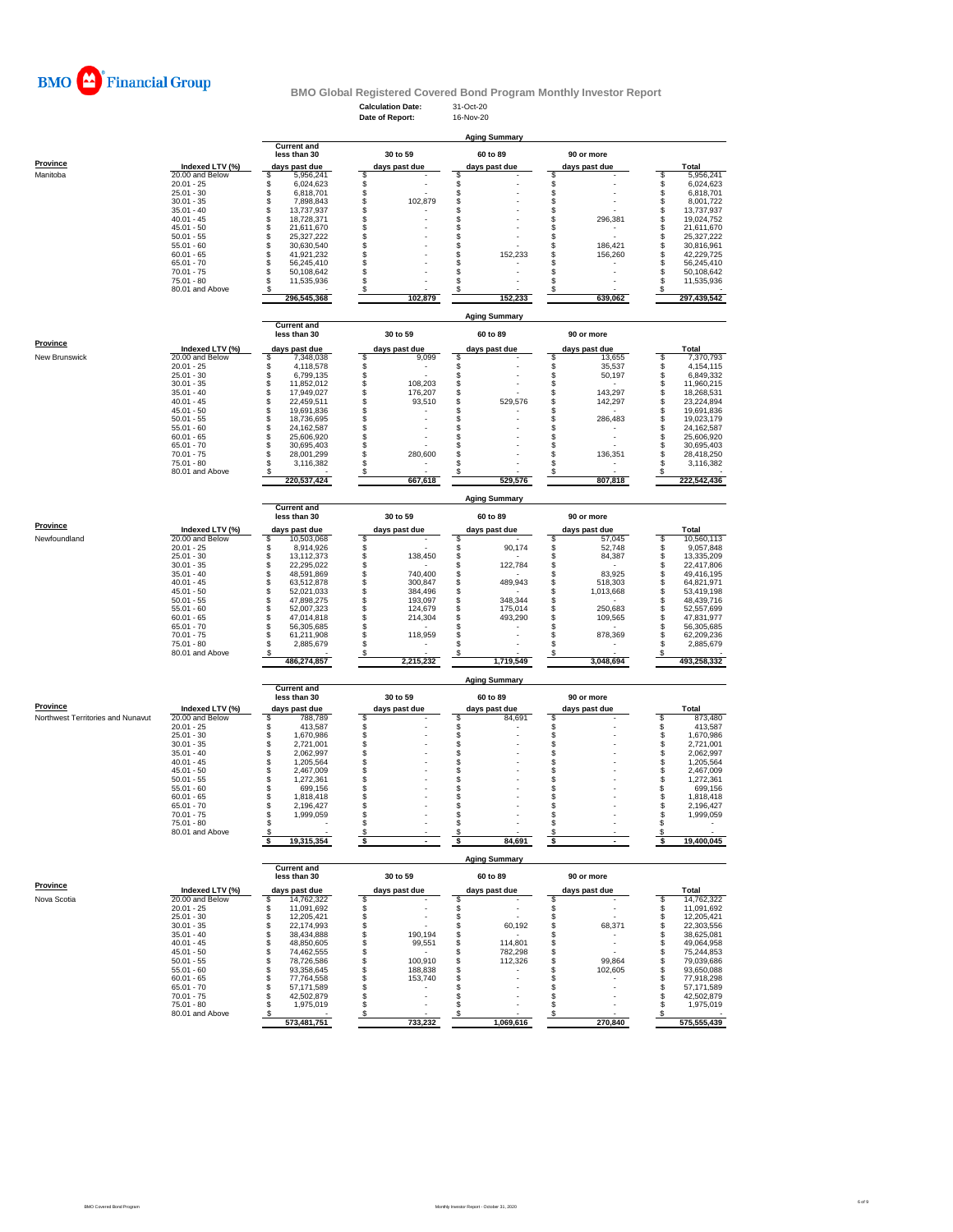**Calculation Date:** 31-Oct-20 **Date of Report:** 16-Nov-20



# **BMO Global Registered Covered Bond Program Monthly Investor Report**

**Current and**

<u>Pr</u>

|                      |                 |               | less than 30 | 30 to 59      |  | 60 to 89      |  | 90 or more    |  |              |
|----------------------|-----------------|---------------|--------------|---------------|--|---------------|--|---------------|--|--------------|
| <b>Province</b>      | Indexed LTV (%) | days past due |              | days past due |  | days past due |  | days past due |  | <b>Total</b> |
| <b>New Brunswick</b> | 20.00 and Below |               | 7,348,038    | 9,099         |  |               |  | 13,655        |  | 7,370,793    |
|                      | $20.01 - 25$    |               | 4,118,578    |               |  |               |  | 35,537        |  | 4,154,115    |
|                      | $25.01 - 30$    |               | 6,799,135    |               |  |               |  | 50,197        |  | 6,849,332    |
|                      | $30.01 - 35$    |               | 11,852,012   | 108,203       |  |               |  |               |  | 11,960,215   |
|                      | $35.01 - 40$    |               | 17,949,027   | 176,207       |  |               |  | 143,297       |  | 18,268,531   |
|                      | $40.01 - 45$    |               | 22,459,511   | 93,510        |  | 529,576       |  | 142,297       |  | 23,224,894   |
|                      | $45.01 - 50$    |               | 19,691,836   |               |  |               |  |               |  | 19,691,836   |
|                      | $50.01 - 55$    |               | 18,736,695   |               |  |               |  | 286,483       |  | 19,023,179   |
|                      | $55.01 - 60$    |               | 24,162,587   |               |  |               |  |               |  | 24,162,587   |
|                      | $60.01 - 65$    |               | 25,606,920   |               |  |               |  |               |  | 25,606,920   |
|                      | $65.01 - 70$    |               | 30,695,403   |               |  |               |  |               |  | 30,695,403   |
|                      | $70.01 - 75$    |               | 28,001,299   | 280,600       |  |               |  | 136,351       |  | 28,418,250   |
|                      | 75.01 - 80      |               | 3,116,382    |               |  |               |  |               |  | 3,116,382    |
|                      | 80.01 and Above |               |              |               |  |               |  |               |  |              |
|                      |                 |               | 220,537,424  | 667,618       |  | 529,576       |  | 807,818       |  | 222,542,436  |

|                 |                    |  | <b>Current and</b><br>less than 30 |               | 30 to 59 |               | <b>Aging Summary</b><br>60 to 89 |               | 90 or more |              |
|-----------------|--------------------|--|------------------------------------|---------------|----------|---------------|----------------------------------|---------------|------------|--------------|
| <b>Province</b> | Indexed LTV $(\%)$ |  | days past due                      | days past due |          | days past due |                                  | days past due |            | <b>Total</b> |
| Manitoba        | 20.00 and Below    |  | 5,956,241                          |               |          |               |                                  |               |            | 5,956,241    |
|                 | $20.01 - 25$       |  | 6,024,623                          |               |          |               |                                  |               |            | 6,024,623    |
|                 | $25.01 - 30$       |  | 6,818,701                          |               |          |               |                                  |               |            | 6,818,701    |
|                 | $30.01 - 35$       |  | 7,898,843                          |               | 102,879  |               |                                  |               |            | 8,001,722    |
|                 | $35.01 - 40$       |  | 13,737,937                         |               |          |               |                                  |               |            | 13,737,937   |
|                 | $40.01 - 45$       |  | 18,728,371                         |               |          |               |                                  |               | 296,381    | 19,024,752   |
|                 | 45.01 - 50         |  | 21,611,670                         |               |          |               |                                  |               |            | 21,611,670   |
|                 | $50.01 - 55$       |  | 25,327,222                         |               |          |               |                                  |               |            | 25,327,222   |
|                 | $55.01 - 60$       |  | 30,630,540                         |               |          |               |                                  |               | 186,421    | 30,816,961   |
|                 | $60.01 - 65$       |  | 41,921,232                         |               |          |               | 152,233                          |               | 156,260    | 42,229,725   |
|                 | $65.01 - 70$       |  | 56,245,410                         |               |          |               |                                  |               |            | 56,245,410   |
|                 | $70.01 - 75$       |  | 50,108,642                         |               |          |               |                                  |               |            | 50,108,642   |
|                 | $75.01 - 80$       |  | 11,535,936                         |               |          |               |                                  |               |            | 11,535,936   |
|                 | 80.01 and Above    |  |                                    |               |          |               |                                  |               |            |              |
|                 |                    |  | 296,545,368                        |               | 102,879  |               | 152,233                          |               | 639,062    | 297,439,542  |

|                 |                 | <b>Aging Summary</b><br><b>Current and</b><br>30 to 59<br>60 to 89<br>less than 30<br>90 or more<br>Indexed LTV (%)<br>Total<br>days past due<br>days past due<br>days past due<br>days past due |             |  |           |  |           |  |           |  |             |  |  |  |  |
|-----------------|-----------------|--------------------------------------------------------------------------------------------------------------------------------------------------------------------------------------------------|-------------|--|-----------|--|-----------|--|-----------|--|-------------|--|--|--|--|
|                 |                 |                                                                                                                                                                                                  |             |  |           |  |           |  |           |  |             |  |  |  |  |
| <b>Province</b> |                 |                                                                                                                                                                                                  |             |  |           |  |           |  |           |  |             |  |  |  |  |
| Newfoundland    | 20.00 and Below |                                                                                                                                                                                                  | 10,503,068  |  |           |  |           |  | 57,045    |  | 10,560,113  |  |  |  |  |
|                 | $20.01 - 25$    |                                                                                                                                                                                                  | 8,914,926   |  |           |  | 90,174    |  | 52,748    |  | 9,057,848   |  |  |  |  |
|                 | $25.01 - 30$    |                                                                                                                                                                                                  | 13,112,373  |  | 138,450   |  |           |  | 84,387    |  | 13,335,209  |  |  |  |  |
|                 | $30.01 - 35$    |                                                                                                                                                                                                  | 22,295,022  |  |           |  | 122,784   |  |           |  | 22,417,806  |  |  |  |  |
|                 | $35.01 - 40$    |                                                                                                                                                                                                  | 48,591,869  |  | 740,400   |  |           |  | 83,925    |  | 49,416,195  |  |  |  |  |
|                 | $40.01 - 45$    |                                                                                                                                                                                                  | 63,512,878  |  | 300,847   |  | 489,943   |  | 518,303   |  | 64,821,971  |  |  |  |  |
|                 | $45.01 - 50$    |                                                                                                                                                                                                  | 52,021,033  |  | 384,496   |  |           |  | 1,013,668 |  | 53,419,198  |  |  |  |  |
|                 | $50.01 - 55$    |                                                                                                                                                                                                  | 47,898,275  |  | 193,097   |  | 348,344   |  |           |  | 48,439,716  |  |  |  |  |
|                 | $55.01 - 60$    |                                                                                                                                                                                                  | 52,007,323  |  | 124,679   |  | 175,014   |  | 250,683   |  | 52,557,699  |  |  |  |  |
|                 | $60.01 - 65$    |                                                                                                                                                                                                  | 47,014,818  |  | 214,304   |  | 493,290   |  | 109,565   |  | 47,831,977  |  |  |  |  |
|                 | $65.01 - 70$    |                                                                                                                                                                                                  | 56,305,685  |  |           |  |           |  |           |  | 56,305,685  |  |  |  |  |
|                 | $70.01 - 75$    |                                                                                                                                                                                                  | 61,211,908  |  | 118,959   |  |           |  | 878,369   |  | 62,209,236  |  |  |  |  |
|                 | $75.01 - 80$    |                                                                                                                                                                                                  | 2,885,679   |  |           |  |           |  |           |  | 2,885,679   |  |  |  |  |
|                 | 80.01 and Above |                                                                                                                                                                                                  |             |  |           |  |           |  |           |  |             |  |  |  |  |
|                 |                 |                                                                                                                                                                                                  | 486,274,857 |  | 2,215,232 |  | 1,719,549 |  | 3,048,694 |  | 493,258,332 |  |  |  |  |

|                                          |                 |  | <b>Current and</b><br>less than 30 |               | 30 to 59 |               | 60 to 89 |               | 90 or more |              |
|------------------------------------------|-----------------|--|------------------------------------|---------------|----------|---------------|----------|---------------|------------|--------------|
| <b>Province</b>                          | Indexed LTV (%) |  | days past due                      | days past due |          | days past due |          | days past due |            | <b>Total</b> |
| <b>Northwest Territories and Nunavut</b> | 20.00 and Below |  | 788,789                            |               |          |               | 84,691   |               |            | 873,480      |
|                                          | $20.01 - 25$    |  | 413,587                            |               |          |               |          |               |            | 413,587      |
|                                          | $25.01 - 30$    |  | 1,670,986                          |               |          |               |          |               |            | 1,670,986    |
|                                          | $30.01 - 35$    |  | 2,721,001                          |               |          |               |          |               |            | 2,721,001    |
|                                          | $35.01 - 40$    |  | 2,062,997                          |               |          |               |          |               |            | 2,062,997    |
|                                          | $40.01 - 45$    |  | 1,205,564                          |               |          |               |          |               |            | 1,205,564    |
|                                          | $45.01 - 50$    |  | 2,467,009                          |               |          |               |          |               |            | 2,467,009    |
|                                          | $50.01 - 55$    |  | 1,272,361                          |               |          |               |          |               |            | 1,272,361    |
|                                          | $55.01 - 60$    |  | 699,156                            |               |          |               |          |               |            | 699,156      |
|                                          | $60.01 - 65$    |  | 1,818,418                          |               |          |               |          |               |            | 1,818,418    |
|                                          | $65.01 - 70$    |  | 2,196,427                          |               |          |               |          |               |            | 2,196,427    |
|                                          | $70.01 - 75$    |  | 1,999,059                          |               |          |               |          |               |            | 1,999,059    |
|                                          | 75.01 - 80      |  |                                    |               |          |               |          |               |            |              |
|                                          | 80.01 and Above |  |                                    |               |          |               |          |               |            |              |
|                                          |                 |  | 19,315,354                         |               |          |               | 84,691   |               |            | 19,400,045   |

|                 |                 | <b>Current and</b><br>less than 30 |               | 30 to 59 | 60 to 89      | 90 or more    |              |
|-----------------|-----------------|------------------------------------|---------------|----------|---------------|---------------|--------------|
| <b>Province</b> | Indexed LTV (%) | days past due                      | days past due |          | days past due | days past due | <b>Total</b> |
| Nova Scotia     | 20.00 and Below | 14,762,322                         |               |          |               |               | 14,762,322   |
|                 | $20.01 - 25$    | 11,091,692                         |               |          |               |               | 11,091,692   |
|                 | $25.01 - 30$    | 12,205,421                         |               |          |               |               | 12,205,421   |
|                 | $30.01 - 35$    | 22,174,993                         |               |          | 60,192        | 68,371        | 22,303,556   |
|                 | $35.01 - 40$    | 38,434,888                         |               | 190,194  |               |               | 38,625,081   |
|                 | $40.01 - 45$    | 48,850,605                         |               | 99,551   | 114,801       |               | 49,064,958   |
|                 | $45.01 - 50$    | 74,462,555                         |               |          | 782,298       |               | 75,244,853   |
|                 | $50.01 - 55$    | 78,726,586                         |               | 100,910  | 112,326       | 99,864        | 79,039,686   |
|                 | $55.01 - 60$    | 93,358,645                         |               | 188,838  |               | 102,605       | 93,650,088   |
|                 | $60.01 - 65$    | 77,764,558                         |               | 153,740  |               |               | 77,918,298   |
|                 | $65.01 - 70$    | 57,171,589                         |               |          |               |               | 57,171,589   |
|                 | $70.01 - 75$    | 42,502,879                         |               |          |               |               | 42,502,879   |
|                 | $75.01 - 80$    | 1,975,019                          |               |          |               |               | 1,975,019    |
|                 | 80.01 and Above |                                    |               |          |               |               |              |
|                 |                 | 573,481,751                        |               | 733,232  | 1,069,616     | 270,840       | 575,555,439  |

|--|

# **Aging Summary**

**Aging Summary**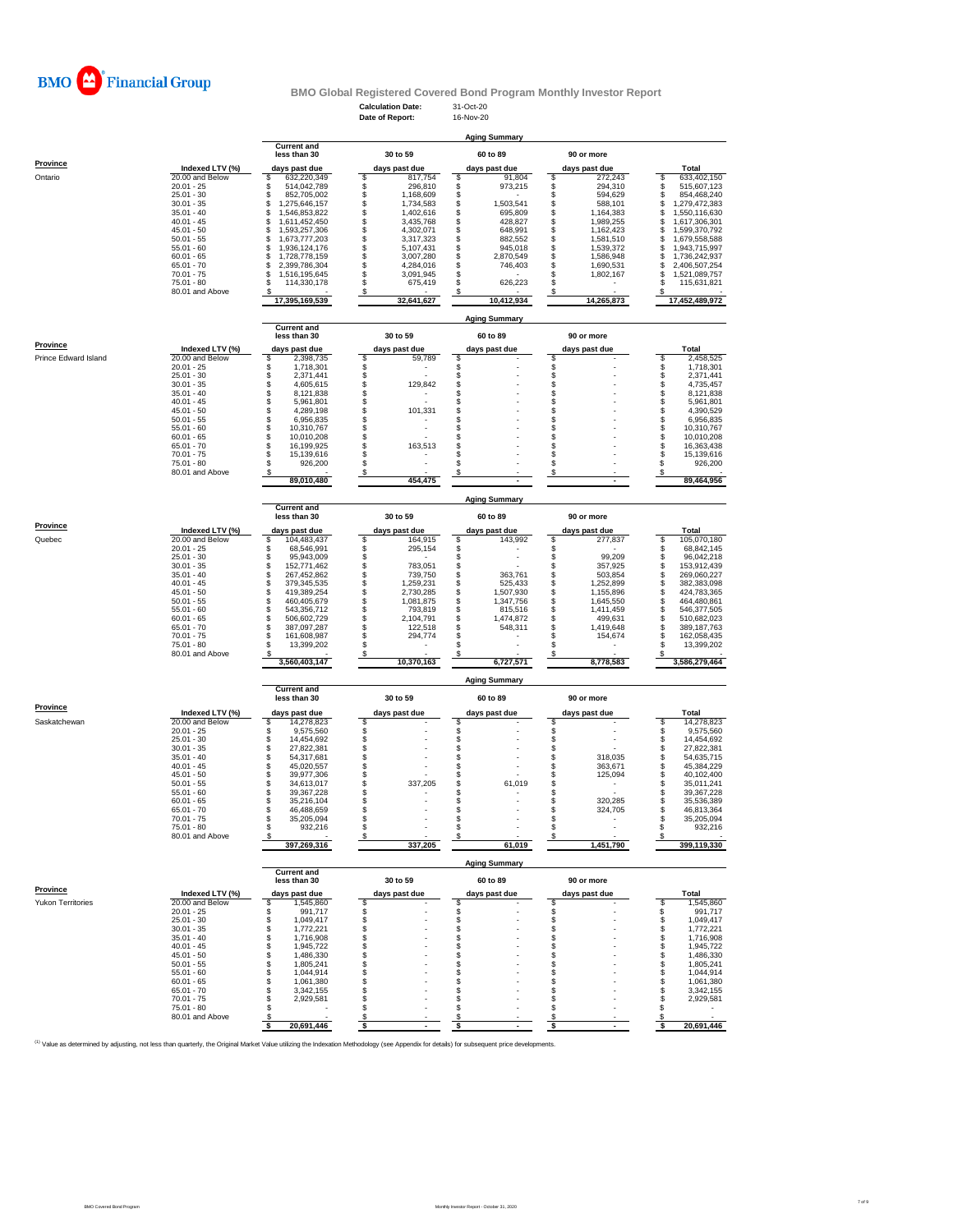**Calculation Date:** 31-Oct-20

**Date of Report:** 16-Nov-20



# **BMO Global Registered Covered Bond Program Monthly Investor Report**

|                 |                     | <b>Aging Summary</b>               |  |               |  |               |  |               |  |                |  |  |  |  |  |
|-----------------|---------------------|------------------------------------|--|---------------|--|---------------|--|---------------|--|----------------|--|--|--|--|--|
|                 |                     | <b>Current and</b><br>less than 30 |  | 30 to 59      |  | 60 to 89      |  | 90 or more    |  |                |  |  |  |  |  |
| <b>Province</b> | Indexed LTV $(\% )$ | days past due                      |  | days past due |  | days past due |  | days past due |  | <b>Total</b>   |  |  |  |  |  |
| Ontario         | 20.00 and Below     | 632,220,349                        |  | 817,754       |  | 91,804        |  | 272,243       |  | 633,402,150    |  |  |  |  |  |
|                 | $20.01 - 25$        | 514,042,789                        |  | 296,810       |  | 973,215       |  | 294,310       |  | 515,607,123    |  |  |  |  |  |
|                 | $25.01 - 30$        | 852,705,002                        |  | 1,168,609     |  |               |  | 594,629       |  | 854,468,240    |  |  |  |  |  |
|                 | $30.01 - 35$        | ,275,646,157                       |  | 1,734,583     |  | 1,503,541     |  | 588,101       |  | ,279,472,383   |  |  |  |  |  |
|                 | $35.01 - 40$        | ,546,853,822                       |  | 1,402,616     |  | 695,809       |  | 1,164,383     |  | ,550,116,630   |  |  |  |  |  |
|                 | $40.01 - 45$        | 611,452,450,                       |  | 3,435,768     |  | 428,827       |  | 1,989,255     |  | ,617,306,301   |  |  |  |  |  |
|                 | $45.01 - 50$        | ,593,257,306                       |  | 4,302,071     |  | 648,991       |  | 1,162,423     |  | ,599,370,792   |  |  |  |  |  |
|                 | $50.01 - 55$        | ,673,777,203                       |  | 3,317,323     |  | 882,552       |  | 1,581,510     |  | 1,679,558,588  |  |  |  |  |  |
|                 | $55.01 - 60$        | ,936,124,176                       |  | 5,107,431     |  | 945,018       |  | 1,539,372     |  | ,943,715,997   |  |  |  |  |  |
|                 | $60.01 - 65$        | ,728,778,159                       |  | 3,007,280     |  | 2,870,549     |  | 1,586,948     |  | 736,242,937    |  |  |  |  |  |
|                 | $65.01 - 70$        | 2,399,786,304                      |  | 4,284,016     |  | 746,403       |  | 1,690,531     |  | 2,406,507,254  |  |  |  |  |  |
|                 | $70.01 - 75$        | .516,195,645                       |  | 3,091,945     |  |               |  | 1,802,167     |  | 521,089,757,   |  |  |  |  |  |
|                 | $75.01 - 80$        | 114,330,178                        |  | 675,419       |  | 626,223       |  |               |  | 115,631,821    |  |  |  |  |  |
|                 | 80.01 and Above     |                                    |  |               |  |               |  |               |  |                |  |  |  |  |  |
|                 |                     | 17,395,169,539                     |  | 32,641,627    |  | 10,412,934    |  | 14,265,873    |  | 17,452,489,972 |  |  |  |  |  |

|                             |                 | <b>Current and</b> |               |                      |               |               |
|-----------------------------|-----------------|--------------------|---------------|----------------------|---------------|---------------|
| <b>Province</b>             |                 | less than 30       | 30 to 59      | 60 to 89             | 90 or more    |               |
|                             | Indexed LTV (%) | days past due      | days past due | days past due        | days past due | <b>Total</b>  |
| <b>Prince Edward Island</b> | 20.00 and Below | 2,398,735          | 59,789        |                      |               | 2,458,525     |
|                             | $20.01 - 25$    | 1,718,301          |               |                      |               | 1,718,301     |
|                             | $25.01 - 30$    | 2,371,441          |               |                      |               | 2,371,441     |
|                             | $30.01 - 35$    | 4,605,615          | 129,842       |                      |               | 4,735,457     |
|                             | $35.01 - 40$    | 8,121,838          |               |                      |               | 8,121,838     |
|                             | $40.01 - 45$    | 5,961,801          |               |                      |               | 5,961,801     |
|                             | $45.01 - 50$    | 4,289,198          | 101,331       |                      |               | 4,390,529     |
|                             | $50.01 - 55$    | 6,956,835          |               |                      |               | 6,956,835     |
|                             | $55.01 - 60$    | 10,310,767         |               |                      |               | 10,310,767    |
|                             | $60.01 - 65$    | 10,010,208         |               |                      |               | 10,010,208    |
|                             | $65.01 - 70$    | 16,199,925         | 163,513       |                      |               | 16,363,438    |
|                             | $70.01 - 75$    | 15,139,616         |               |                      |               | 15,139,616    |
|                             | $75.01 - 80$    | 926,200            |               |                      |               | 926,200       |
|                             | 80.01 and Above |                    |               |                      |               |               |
|                             |                 | 89,010,480         | 454,475       |                      |               | 89,464,956    |
|                             |                 |                    |               | <b>Aging Summary</b> |               |               |
|                             |                 | <b>Current and</b> |               |                      |               |               |
|                             |                 | less than 30       | 30 to 59      | 60 to 89             | 90 or more    |               |
| <b>Province</b>             | Indexed LTV (%) | days past due      | days past due | days past due        | days past due | <b>Total</b>  |
| Quebec                      | 20.00 and Below | 104,483,437        | 164,915       | 143,992              | 277,837       | 105,070,180   |
|                             | $20.01 - 25$    | 68,546,991         | 295,154       |                      |               | 68,842,145    |
|                             | $25.01 - 30$    | 95,943,009         |               |                      | 99,209        | 96,042,218    |
|                             | $30.01 - 35$    | 152,771,462        | 783,051       |                      | 357,925       | 153,912,439   |
|                             | $35.01 - 40$    | 267,452,862        | 739,750       | 363,761              | 503,854       | 269,060,227   |
|                             | $40.01 - 45$    | 379,345,535        | 1,259,231     | 525,433              | 1,252,899     | 382,383,098   |
|                             | $45.01 - 50$    | 419,389,254        | 2,730,285     | 1,507,930            | 1,155,896     | 424,783,365   |
|                             | $50.01 - 55$    | 460,405,679        | 1,081,875     | 1,347,756            | 1,645,550     | 464,480,861   |
|                             | $55.01 - 60$    | 543,356,712        | 793,819       | 815,516              | 1,411,459     | 546,377,505   |
|                             | $60.01 - 65$    | 506,602,729        | 2,104,791     | 1,474,872            | 499,631       | 510,682,023   |
|                             | $65.01 - 70$    | 387,097,287        | 122,518       | 548,311              | 1,419,648     | 389, 187, 763 |
|                             | $70.01 - 75$    | 161,608,987        | 294,774       |                      | 154,674       | 162,058,435   |
|                             | 75.01 - 80      | 13,399,202         |               |                      |               | 13,399,202    |
|                             | 80.01 and Above |                    |               |                      |               |               |
|                             |                 | 3,560,403,147      | 10,370,163    | 6,727,571            | 8,778,583     | 3,586,279,464 |
|                             |                 |                    |               | <b>Aging Summary</b> |               |               |
|                             |                 | <b>Current and</b> |               |                      |               |               |
|                             |                 | less than 30       | 30 to 59      | 60 to 89             | 90 or more    |               |
| <b>Province</b>             | Indexed LTV (%) | days past due      | days past due | days past due        | days past due | Total         |
| Saskatchewan                | 20.00 and Below | 14,278,823         |               |                      |               | 14,278,823    |
|                             | $20.01 - 25$    | 9,575,560          |               |                      |               | 9,575,560     |
|                             | $25.01 - 30$    | 14,454,692         |               |                      |               | 14,454,692    |
|                             | $30.01 - 35$    | 27,822,381         |               |                      |               | 27,822,381    |
|                             | $35.01 - 40$    | 54,317,681         |               |                      | 318,035       | 54,635,715    |
|                             | $40.01 - 45$    | 45,020,557         |               |                      | 363,671       | 45,384,229    |
|                             | $45.01 - 50$    | 39,977,306         |               |                      | 125,094       | 40,102,400    |
|                             | $50.01 - 55$    | 34,613,017         | 337,205       | 61,019               |               | 35,011,241    |
|                             | $55.01 - 60$    | 39,367,228         |               |                      |               | 39,367,228    |
|                             | $60.01 - 65$    | 35,216,104         |               |                      | 320,285       | 35,536,389    |

65.01 - 70 \$ 46,488,659 \$ - \$ - \$ 324,705 \$ 46,813,364 70.01 - 75 \$ 35,205,094 \$ - \$ - \$ - \$ 35,205,094 75.01 - 80 \$ 932,216 \$ - \$ - \$ - \$ 932,216

80.01 and Above  $\frac{\$}{397,269,316}$   $\frac{\$}{337,205}$   $\frac{\$}{337,205}$   $\frac{\$}{61,019}$   $\frac{\$}{1,451,790}$   $\frac{\$}{399,119,330}$ 

<sup>(1)</sup> Value as determined by adjusting, not less than quarterly, the Original Market Value utilizing the Indexation Methodology (see Appendix for details) for subsequent price developments.

 **397,269,316 337,205 61,019 1,451,790 399,119,330**

|                          |                 | <b>Aging Summary</b> |                                    |               |          |  |               |               |                          |  |              |  |  |  |
|--------------------------|-----------------|----------------------|------------------------------------|---------------|----------|--|---------------|---------------|--------------------------|--|--------------|--|--|--|
|                          |                 |                      | <b>Current and</b><br>less than 30 |               | 30 to 59 |  | 60 to 89      |               | 90 or more               |  |              |  |  |  |
| <b>Province</b>          | Indexed LTV (%) |                      | days past due                      | days past due |          |  | days past due | days past due |                          |  | <b>Total</b> |  |  |  |
| <b>Yukon Territories</b> | 20.00 and Below |                      | 1,545,860                          |               |          |  |               |               |                          |  | 1,545,860    |  |  |  |
|                          | $20.01 - 25$    |                      | 991,717                            |               |          |  |               |               |                          |  | 991,717      |  |  |  |
|                          | $25.01 - 30$    |                      | 1,049,417                          |               |          |  |               |               |                          |  | 1,049,417    |  |  |  |
|                          | $30.01 - 35$    |                      | 1,772,221                          |               |          |  |               |               |                          |  | 1,772,221    |  |  |  |
|                          | $35.01 - 40$    |                      | 1,716,908                          |               |          |  |               |               |                          |  | 1,716,908    |  |  |  |
|                          | $40.01 - 45$    |                      | 1,945,722                          |               |          |  |               |               |                          |  | 1,945,722    |  |  |  |
|                          | $45.01 - 50$    |                      | 1,486,330                          |               |          |  |               |               |                          |  | 1,486,330    |  |  |  |
|                          | $50.01 - 55$    |                      | 1,805,241                          |               |          |  |               |               | $\overline{\phantom{0}}$ |  | 1,805,241    |  |  |  |
|                          | $55.01 - 60$    |                      | 1,044,914                          |               |          |  |               |               |                          |  | 1,044,914    |  |  |  |
|                          | $60.01 - 65$    |                      | 1,061,380                          |               |          |  |               |               |                          |  | 1,061,380    |  |  |  |
|                          | $65.01 - 70$    |                      | 3,342,155                          |               |          |  |               |               | $\overline{\phantom{0}}$ |  | 3,342,155    |  |  |  |
|                          | $70.01 - 75$    |                      | 2,929,581                          |               |          |  |               |               |                          |  | 2,929,581    |  |  |  |
|                          | $75.01 - 80$    |                      |                                    |               |          |  |               |               |                          |  |              |  |  |  |
|                          | 80.01 and Above |                      |                                    |               |          |  |               |               |                          |  |              |  |  |  |
|                          |                 |                      | 20,691,446                         |               |          |  |               |               |                          |  | 20,691,446   |  |  |  |

**Aging Summary**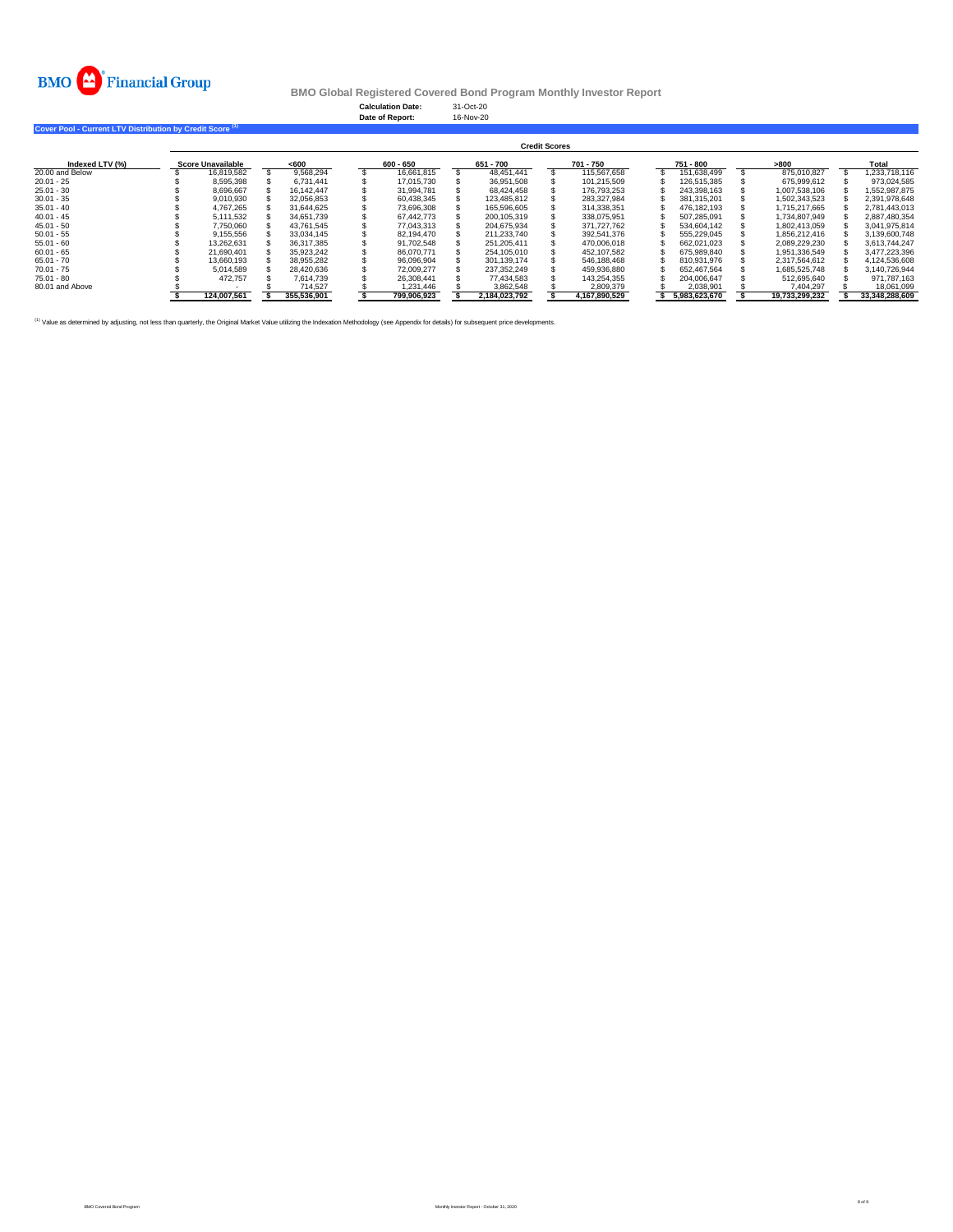**Calculation Date:** 31-Oct-20 **Date of Report:** 16-Nov-20



# **BMO Global Registered Covered Bond Program Monthly Investor Report**

## **Cover Pool - Current LTV Distribution by Credit Score (1)**

|                 | <b>Credit Scores</b>     |             |  |             |  |             |  |               |  |               |  |               |  |                |  |                |
|-----------------|--------------------------|-------------|--|-------------|--|-------------|--|---------------|--|---------------|--|---------------|--|----------------|--|----------------|
| Indexed LTV (%) | <b>Score Unavailable</b> |             |  | $600$       |  | $600 - 650$ |  | 651 - 700     |  | 701 - 750     |  | 751 - 800     |  | >800           |  | <b>Total</b>   |
| 20.00 and Below |                          | 16,819,582  |  | 9,568,294   |  | 16,661,815  |  | 48,451,441    |  | 115,567,658   |  | 151,638,499   |  | 875,010,827    |  | 1,233,718,116  |
| $20.01 - 25$    |                          | 8,595,398   |  | 6,731,441   |  | 17,015,730  |  | 36,951,508    |  | 101,215,509   |  | 126,515,385   |  | 675,999,612    |  | 973,024,585    |
| $25.01 - 30$    |                          | 8,696,667   |  | 16,142,447  |  | 31,994,781  |  | 68,424,458    |  | 176,793,253   |  | 243,398,163   |  | 1,007,538,106  |  | 1,552,987,875  |
| $30.01 - 35$    |                          | 9,010,930   |  | 32,056,853  |  | 60,438,345  |  | 123,485,812   |  | 283,327,984   |  | 381,315,201   |  | 1,502,343,523  |  | 2,391,978,648  |
| $35.01 - 40$    |                          | 4,767,265   |  | 31,644,625  |  | 73,696,308  |  | 165,596,605   |  | 314,338,351   |  | 476,182,193   |  | 1,715,217,665  |  | 2,781,443,013  |
| 40.01 - 45      |                          | 5,111,532   |  | 34,651,739  |  | 67,442,773  |  | 200,105,319   |  | 338,075,951   |  | 507,285,091   |  | 1,734,807,949  |  | 2,887,480,354  |
| 45.01 - 50      |                          | 7,750,060   |  | 43,761,545  |  | 77,043,313  |  | 204,675,934   |  | 371,727,762   |  | 534,604,142   |  | 1,802,413,059  |  | 3,041,975,814  |
| $50.01 - 55$    |                          | 9,155,556   |  | 33,034,145  |  | 82,194,470  |  | 211,233,740   |  | 392,541,376   |  | 555,229,045   |  | 1,856,212,416  |  | 3,139,600,748  |
| $55.01 - 60$    |                          | 13,262,631  |  | 36,317,385  |  | 91,702,548  |  | 251,205,411   |  | 470,006,018   |  | 662,021,023   |  | 2,089,229,230  |  | 3,613,744,247  |
| $60.01 - 65$    |                          | 21,690,401  |  | 35,923,242  |  | 86,070,771  |  | 254,105,010   |  | 452,107,582   |  | 675,989,840   |  | 1,951,336,549  |  | 3,477,223,396  |
| $65.01 - 70$    |                          | 13,660,193  |  | 38,955,282  |  | 96,096,904  |  | 301,139,174   |  | 546,188,468   |  | 810,931,976   |  | 2,317,564,612  |  | 4,124,536,608  |
| 70.01 - 75      |                          | 5,014,589   |  | 28,420,636  |  | 72,009,277  |  | 237,352,249   |  | 459,936,880   |  | 652,467,564   |  | 1,685,525,748  |  | 3,140,726,944  |
| 75.01 - 80      |                          | 472,757     |  | 7,614,739   |  | 26,308,441  |  | 77,434,583    |  | 143,254,355   |  | 204,006,647   |  | 512,695,640    |  | 971,787,163    |
| 80.01 and Above |                          |             |  | 714,527     |  | 1,231,446   |  | 3,862,548     |  | 2,809,379     |  | 2,038,901     |  | 7,404,297      |  | 18,061,099     |
|                 |                          | 124,007,561 |  | 355,536,901 |  | 799,906,923 |  | 2,184,023,792 |  | 4,167,890,529 |  | 5,983,623,670 |  | 19,733,299,232 |  | 33,348,288,609 |

<sup>(1)</sup> Value as determined by adjusting, not less than quarterly, the Original Market Value utilizing the Indexation Methodology (see Appendix for details) for subsequent price developments.